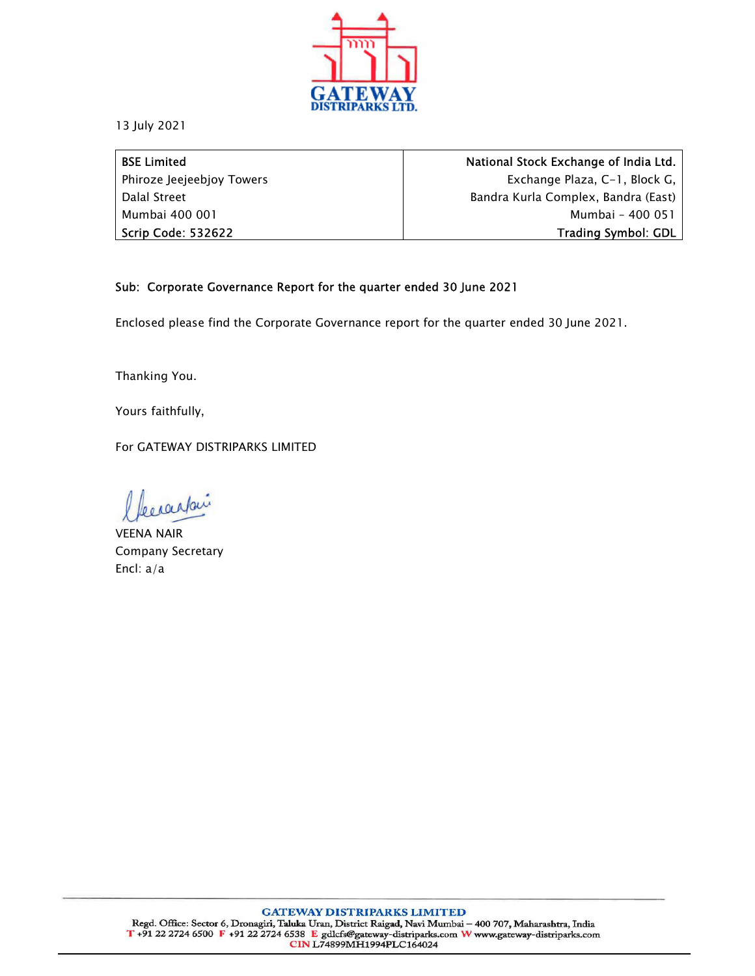

13 July 2021

BSE Limited Phiroze Jeejeebjoy Towers Dalal Street Mumbai 400 001 Scrip Code: 532622

National Stock Exchange of India Ltd. Exchange Plaza, C-1, Block G, Bandra Kurla Complex, Bandra (East) Mumbai – 400 051 Trading Symbol: GDL

## Sub: Corporate Governance Report for the quarter ended 30 June 2021

Enclosed please find the Corporate Governance report for the quarter ended 30 June 2021.

Thanking You.

Yours faithfully,

For GATEWAY DISTRIPARKS LIMITED

becausair

VEENA NAIR Company Secretary Encl: a/a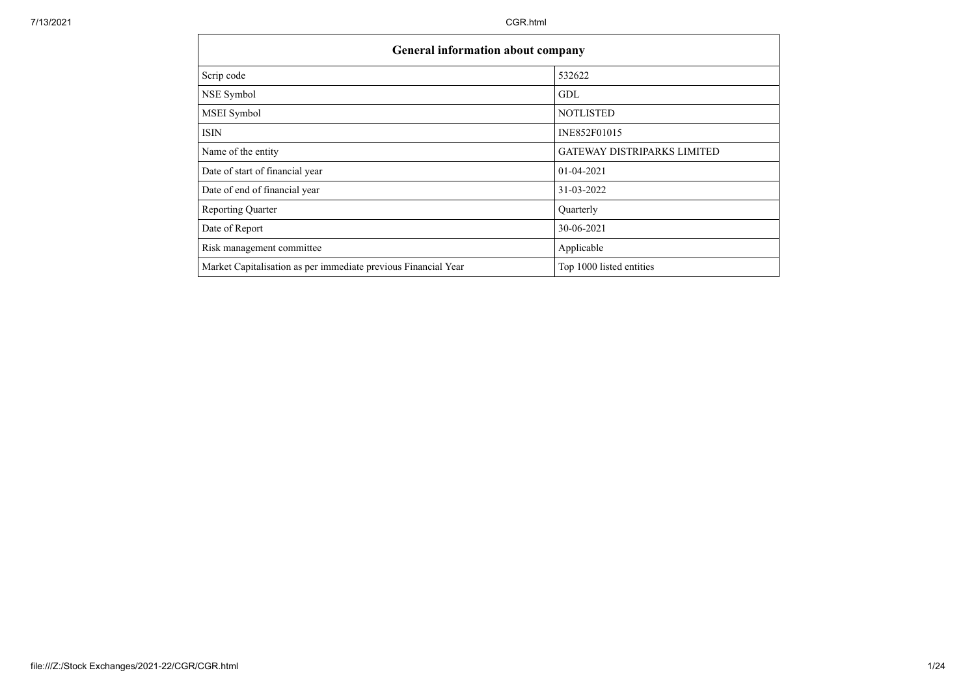- 6

| <b>General information about company</b>                       |                                    |
|----------------------------------------------------------------|------------------------------------|
| Scrip code                                                     | 532622                             |
| NSE Symbol                                                     | GDL                                |
| MSEI Symbol                                                    | <b>NOTLISTED</b>                   |
| <b>ISIN</b>                                                    | INE852F01015                       |
| Name of the entity                                             | <b>GATEWAY DISTRIPARKS LIMITED</b> |
| Date of start of financial year                                | 01-04-2021                         |
| Date of end of financial year                                  | 31-03-2022                         |
| <b>Reporting Quarter</b>                                       | Quarterly                          |
| Date of Report                                                 | 30-06-2021                         |
| Risk management committee                                      | Applicable                         |
| Market Capitalisation as per immediate previous Financial Year | Top 1000 listed entities           |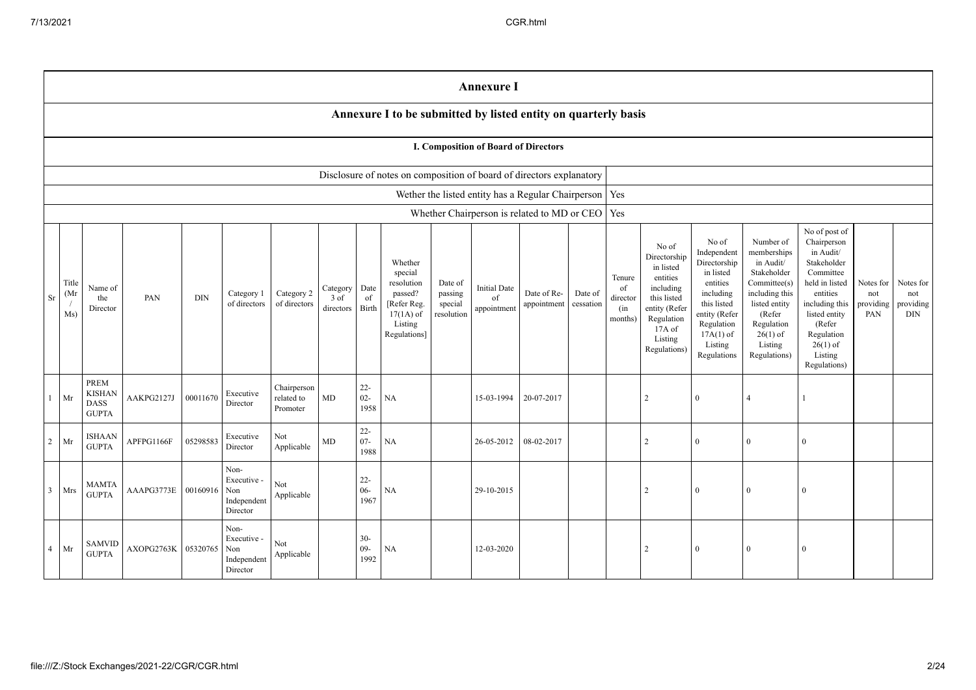|                |                                                                      |                                                      |            |            |                                                       |                                       |                                 |                          |                                                                                                      |                                             | <b>Annexure I</b>                                        |                            |                      |                                            |                                                                                                                                                |                                                                                                                                                                   |                                                                                                                                                                          |                                                                                                                                                                                                         |                                      |                                             |
|----------------|----------------------------------------------------------------------|------------------------------------------------------|------------|------------|-------------------------------------------------------|---------------------------------------|---------------------------------|--------------------------|------------------------------------------------------------------------------------------------------|---------------------------------------------|----------------------------------------------------------|----------------------------|----------------------|--------------------------------------------|------------------------------------------------------------------------------------------------------------------------------------------------|-------------------------------------------------------------------------------------------------------------------------------------------------------------------|--------------------------------------------------------------------------------------------------------------------------------------------------------------------------|---------------------------------------------------------------------------------------------------------------------------------------------------------------------------------------------------------|--------------------------------------|---------------------------------------------|
|                |                                                                      |                                                      |            |            |                                                       |                                       |                                 |                          | Annexure I to be submitted by listed entity on quarterly basis                                       |                                             |                                                          |                            |                      |                                            |                                                                                                                                                |                                                                                                                                                                   |                                                                                                                                                                          |                                                                                                                                                                                                         |                                      |                                             |
|                |                                                                      |                                                      |            |            |                                                       |                                       |                                 |                          |                                                                                                      |                                             | I. Composition of Board of Directors                     |                            |                      |                                            |                                                                                                                                                |                                                                                                                                                                   |                                                                                                                                                                          |                                                                                                                                                                                                         |                                      |                                             |
|                | Disclosure of notes on composition of board of directors explanatory |                                                      |            |            |                                                       |                                       |                                 |                          |                                                                                                      |                                             |                                                          |                            |                      |                                            |                                                                                                                                                |                                                                                                                                                                   |                                                                                                                                                                          |                                                                                                                                                                                                         |                                      |                                             |
|                |                                                                      |                                                      |            |            |                                                       |                                       |                                 |                          |                                                                                                      |                                             | Wether the listed entity has a Regular Chairperson   Yes |                            |                      |                                            |                                                                                                                                                |                                                                                                                                                                   |                                                                                                                                                                          |                                                                                                                                                                                                         |                                      |                                             |
|                |                                                                      |                                                      |            |            |                                                       |                                       |                                 |                          |                                                                                                      |                                             | Whether Chairperson is related to MD or CEO   Yes        |                            |                      |                                            |                                                                                                                                                |                                                                                                                                                                   |                                                                                                                                                                          |                                                                                                                                                                                                         |                                      |                                             |
| Sr             | Title<br>(Mr)<br>$\sqrt{ }$<br>Ms)                                   | Name of<br>the<br>Director                           | PAN        | <b>DIN</b> | Category 1<br>of directors                            | Category 2<br>of directors            | Category<br>$3$ of<br>directors | Date<br>of<br>Birth      | Whether<br>special<br>resolution<br>passed?<br>[Refer Reg.<br>$17(1A)$ of<br>Listing<br>Regulations] | Date of<br>passing<br>special<br>resolution | <b>Initial Date</b><br>of<br>appointment                 | Date of Re-<br>appointment | Date of<br>cessation | Tenure<br>of<br>director<br>(in<br>months) | No of<br>Directorship<br>in listed<br>entities<br>including<br>this listed<br>entity (Refer<br>Regulation<br>17A of<br>Listing<br>Regulations) | No of<br>Independent<br>Directorship<br>in listed<br>entities<br>including<br>this listed<br>entity (Refer<br>Regulation<br>$17A(1)$ of<br>Listing<br>Regulations | Number of<br>memberships<br>in Audit/<br>Stakeholder<br>Committee(s)<br>including this<br>listed entity<br>(Refer<br>Regulation<br>$26(1)$ of<br>Listing<br>Regulations) | No of post of<br>Chairperson<br>in Audit/<br>Stakeholder<br>Committee<br>held in listed<br>entities<br>including this<br>listed entity<br>(Refer<br>Regulation<br>$26(1)$ of<br>Listing<br>Regulations) | Notes for<br>not<br>providing<br>PAN | Notes for<br>not<br>providing<br><b>DIN</b> |
|                | Mr                                                                   | PREM<br><b>KISHAN</b><br><b>DASS</b><br><b>GUPTA</b> | AAKPG2127J | 00011670   | Executive<br>Director                                 | Chairperson<br>related to<br>Promoter | MD                              | $22 -$<br>$02 -$<br>1958 | NA                                                                                                   |                                             | 15-03-1994                                               | 20-07-2017                 |                      |                                            | $\overline{2}$                                                                                                                                 | $\overline{0}$                                                                                                                                                    | $\overline{4}$                                                                                                                                                           |                                                                                                                                                                                                         |                                      |                                             |
| 2              | Mr                                                                   | <b>ISHAAN</b><br><b>GUPTA</b>                        | APFPG1166F | 05298583   | Executive<br>Director                                 | Not<br>Applicable                     | MD                              | $22 -$<br>$07 -$<br>1988 | NA                                                                                                   |                                             | 26-05-2012                                               | 08-02-2017                 |                      |                                            | $\mathfrak{D}$                                                                                                                                 | $\overline{0}$                                                                                                                                                    | $\Omega$                                                                                                                                                                 | $\theta$                                                                                                                                                                                                |                                      |                                             |
| $\overline{3}$ | Mrs                                                                  | <b>MAMTA</b><br><b>GUPTA</b>                         | AAAPG3773E | 00160916   | Non-<br>Executive -<br>Non<br>Independent<br>Director | Not<br>Applicable                     |                                 | $22 -$<br>$06 -$<br>1967 | NA                                                                                                   |                                             | 29-10-2015                                               |                            |                      |                                            | $\mathcal{D}$                                                                                                                                  | $\overline{0}$                                                                                                                                                    | $\Omega$                                                                                                                                                                 | $\Omega$                                                                                                                                                                                                |                                      |                                             |
| $\overline{4}$ | Mr                                                                   | <b>SAMVID</b><br><b>GUPTA</b>                        | AXOPG2763K | 05320765   | Non-<br>Executive -<br>Non<br>Independent<br>Director | Not<br>${\large \bf Applicable}$      |                                 | $30 -$<br>$09 -$<br>1992 | <b>NA</b>                                                                                            |                                             | 12-03-2020                                               |                            |                      |                                            | $\overline{2}$                                                                                                                                 | 0                                                                                                                                                                 | $\Omega$                                                                                                                                                                 | $\overline{0}$                                                                                                                                                                                          |                                      |                                             |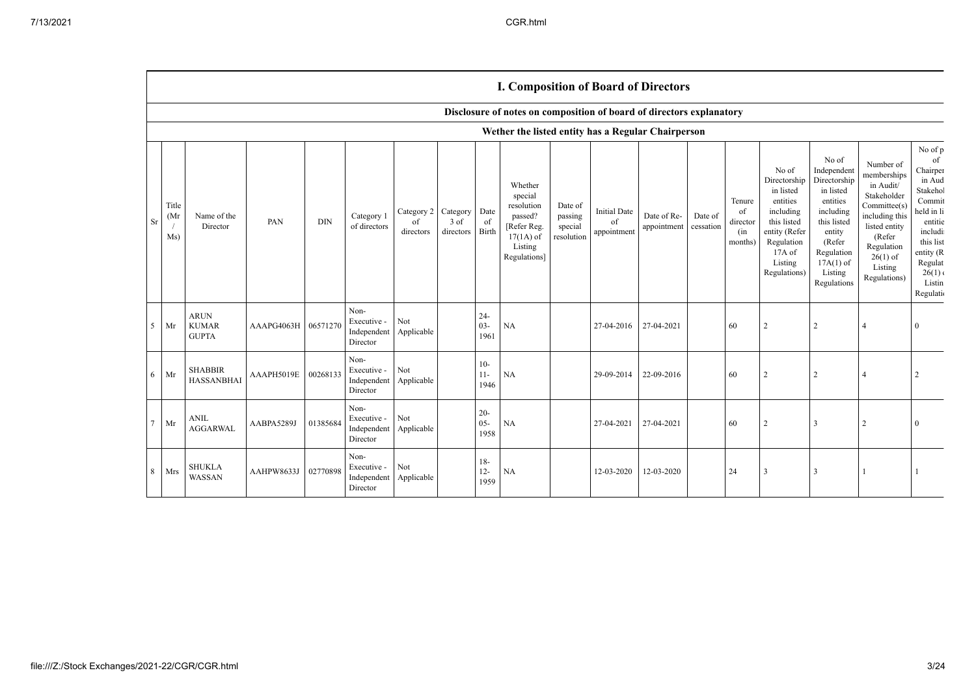$\top$ 

|                |                     |                                             |            |          |                                                |                                        |                   |                          | <b>I. Composition of Board of Directors</b>                                                          |                                             |                                          |                            |                      |                                            |                                                                                                                                                |                                                                                                                                                                      |                                                                                                                                                                          |                                                                                                                                                                              |
|----------------|---------------------|---------------------------------------------|------------|----------|------------------------------------------------|----------------------------------------|-------------------|--------------------------|------------------------------------------------------------------------------------------------------|---------------------------------------------|------------------------------------------|----------------------------|----------------------|--------------------------------------------|------------------------------------------------------------------------------------------------------------------------------------------------|----------------------------------------------------------------------------------------------------------------------------------------------------------------------|--------------------------------------------------------------------------------------------------------------------------------------------------------------------------|------------------------------------------------------------------------------------------------------------------------------------------------------------------------------|
|                |                     |                                             |            |          |                                                |                                        |                   |                          | Disclosure of notes on composition of board of directors explanatory                                 |                                             |                                          |                            |                      |                                            |                                                                                                                                                |                                                                                                                                                                      |                                                                                                                                                                          |                                                                                                                                                                              |
|                |                     |                                             |            |          |                                                |                                        |                   |                          | Wether the listed entity has a Regular Chairperson                                                   |                                             |                                          |                            |                      |                                            |                                                                                                                                                |                                                                                                                                                                      |                                                                                                                                                                          |                                                                                                                                                                              |
| Sr             | Title<br>(Mr<br>Ms) | Name of the<br>Director                     | PAN        | DIN      | Category 1<br>of directors                     | Category 2 Category<br>of<br>directors | 3 of<br>directors | Date<br>of<br>Birth      | Whether<br>special<br>resolution<br>passed?<br>[Refer Reg.<br>$17(1A)$ of<br>Listing<br>Regulations] | Date of<br>passing<br>special<br>resolution | <b>Initial Date</b><br>of<br>appointment | Date of Re-<br>appointment | Date of<br>cessation | Tenure<br>of<br>director<br>(in<br>months) | No of<br>Directorship<br>in listed<br>entities<br>including<br>this listed<br>entity (Refer<br>Regulation<br>17A of<br>Listing<br>Regulations) | No of<br>Independent<br>Directorship<br>in listed<br>entities<br>including<br>this listed<br>entity<br>(Refer<br>Regulation<br>$17A(1)$ of<br>Listing<br>Regulations | Number of<br>memberships<br>in Audit/<br>Stakeholder<br>Committee(s)<br>including this<br>listed entity<br>(Refer<br>Regulation<br>$26(1)$ of<br>Listing<br>Regulations) | No of $\mathbf p$<br>of<br>Chairper<br>in Aud<br>Stakehol<br>Commit<br>held in li<br>entitie<br>includi<br>this list<br>entity (R<br>Regulat<br>26(1)<br>Listin<br>Regulatio |
| 5              | Mr                  | <b>ARUN</b><br><b>KUMAR</b><br><b>GUPTA</b> | AAAPG4063H | 06571270 | Non-<br>Executive -<br>Independent<br>Director | Not<br>Applicable                      |                   | $24 -$<br>$03 -$<br>1961 | <b>NA</b>                                                                                            |                                             | 27-04-2016                               | 27-04-2021                 |                      | 60                                         | $\overline{2}$                                                                                                                                 | 2                                                                                                                                                                    | $\overline{4}$                                                                                                                                                           | $\theta$                                                                                                                                                                     |
| 6              | Mr                  | <b>SHABBIR</b><br><b>HASSANBHAI</b>         | AAAPH5019E | 00268133 | Non-<br>Executive -<br>Independent<br>Director | Not<br>Applicable                      |                   | $10-$<br>$11-$<br>1946   | <b>NA</b>                                                                                            |                                             | 29-09-2014                               | 22-09-2016                 |                      | 60                                         | $\overline{2}$                                                                                                                                 | $\overline{2}$                                                                                                                                                       | $\overline{4}$                                                                                                                                                           |                                                                                                                                                                              |
| $\overline{7}$ | Mr                  | <b>ANIL</b><br><b>AGGARWAL</b>              | AABPA5289J | 01385684 | Non-<br>Executive -<br>Independent<br>Director | Not<br>Applicable                      |                   | $20 -$<br>$05 -$<br>1958 | <b>NA</b>                                                                                            |                                             | 27-04-2021                               | 27-04-2021                 |                      | 60                                         | $\overline{2}$                                                                                                                                 | 3                                                                                                                                                                    | 2                                                                                                                                                                        | $^{0}$                                                                                                                                                                       |
| 8              | Mrs                 | <b>SHUKLA</b><br>WASSAN                     | AAHPW8633J | 02770898 | Non-<br>Executive -<br>Independent<br>Director | Not<br>Applicable                      |                   | $18-$<br>$12 -$<br>1959  | <b>NA</b>                                                                                            |                                             | 12-03-2020                               | 12-03-2020                 |                      | 24                                         | 3                                                                                                                                              | 3                                                                                                                                                                    |                                                                                                                                                                          |                                                                                                                                                                              |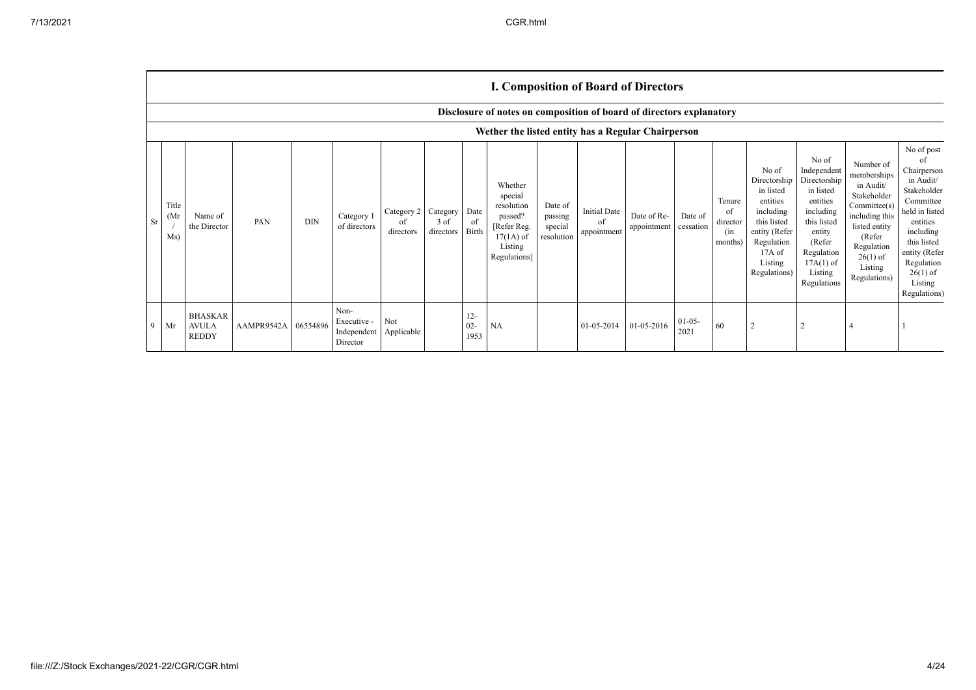|               |                                                                                                                            |                                                |                     |            |                                                |                               |                               |                          |                                                                                                      |                                             |                                          | <b>I. Composition of Board of Directors</b> |                      |                                            |                                                                                                                                                  |                                                                                                                                                                      |                                                                                                                                                                          |                                                                                                                                                                                                            |
|---------------|----------------------------------------------------------------------------------------------------------------------------|------------------------------------------------|---------------------|------------|------------------------------------------------|-------------------------------|-------------------------------|--------------------------|------------------------------------------------------------------------------------------------------|---------------------------------------------|------------------------------------------|---------------------------------------------|----------------------|--------------------------------------------|--------------------------------------------------------------------------------------------------------------------------------------------------|----------------------------------------------------------------------------------------------------------------------------------------------------------------------|--------------------------------------------------------------------------------------------------------------------------------------------------------------------------|------------------------------------------------------------------------------------------------------------------------------------------------------------------------------------------------------------|
|               | Disclosure of notes on composition of board of directors explanatory<br>Wether the listed entity has a Regular Chairperson |                                                |                     |            |                                                |                               |                               |                          |                                                                                                      |                                             |                                          |                                             |                      |                                            |                                                                                                                                                  |                                                                                                                                                                      |                                                                                                                                                                          |                                                                                                                                                                                                            |
| <sup>Sr</sup> | Title<br>(M <sub>I</sub> )<br>Ms)                                                                                          | Name of<br>the Director                        | PAN                 | <b>DIN</b> | Category 1<br>of directors                     | Category 2<br>of<br>directors | Category<br>3 of<br>directors | Date<br>of<br>Birth      | Whether<br>special<br>resolution<br>passed?<br>[Refer Reg.<br>$17(1A)$ of<br>Listing<br>Regulations] | Date of<br>passing<br>special<br>resolution | <b>Initial Date</b><br>of<br>appointment | Date of Re-<br>appointment                  | Date of<br>cessation | Tenure<br>of<br>director<br>(in<br>months) | No of<br>Directorship<br>in listed<br>entities<br>including<br>this listed<br>entity (Refer<br>Regulation<br>$17A$ of<br>Listing<br>Regulations) | No of<br>Independent<br>Directorship<br>in listed<br>entities<br>including<br>this listed<br>entity<br>(Refer<br>Regulation<br>$17A(1)$ of<br>Listing<br>Regulations | Number of<br>memberships<br>in Audit/<br>Stakeholder<br>Committee(s)<br>including this<br>listed entity<br>(Refer<br>Regulation<br>$26(1)$ of<br>Listing<br>Regulations) | No of post<br>of<br>Chairperson<br>in Audit/<br>Stakeholder<br>Committee<br>held in listed<br>entities<br>including<br>this listed<br>entity (Refer<br>Regulation<br>$26(1)$ of<br>Listing<br>Regulations) |
| 9             | Mr                                                                                                                         | <b>BHASKAR</b><br><b>AVULA</b><br><b>REDDY</b> | AAMPR9542A 06554896 |            | Non-<br>Executive -<br>Independent<br>Director | Not<br>Applicable             |                               | $12 -$<br>$02 -$<br>1953 | NA                                                                                                   |                                             | 01-05-2014                               | 01-05-2016                                  | $01-05-$<br>2021     | 60                                         | 2                                                                                                                                                |                                                                                                                                                                      |                                                                                                                                                                          |                                                                                                                                                                                                            |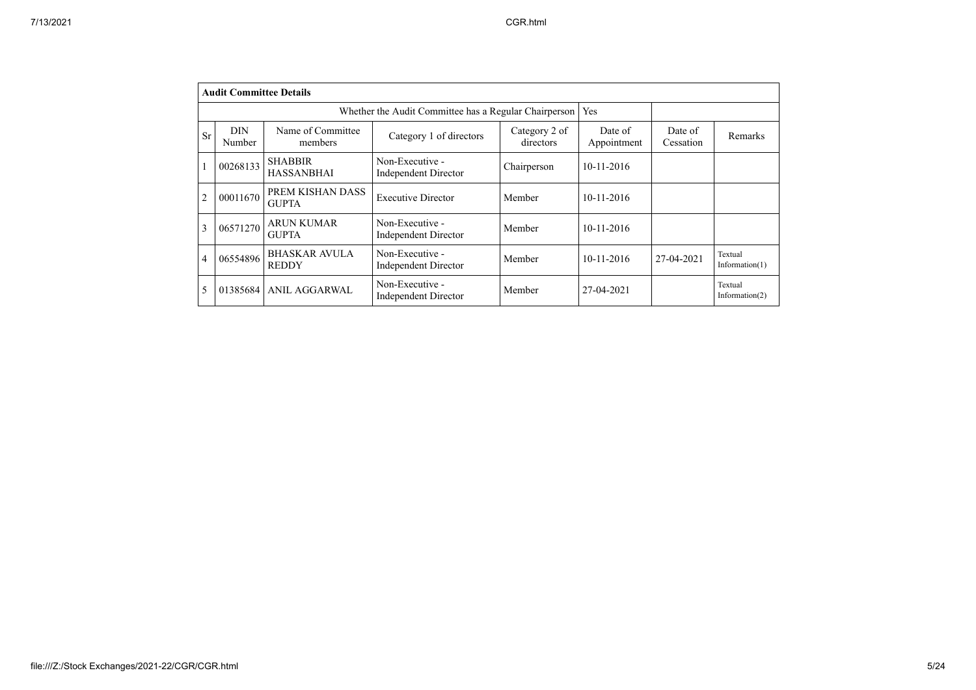|                | <b>Audit Committee Details</b> |                                      |                                                       |                            |                        |                      |                              |
|----------------|--------------------------------|--------------------------------------|-------------------------------------------------------|----------------------------|------------------------|----------------------|------------------------------|
|                |                                |                                      | Whether the Audit Committee has a Regular Chairperson |                            | Yes                    |                      |                              |
| Sr             | <b>DIN</b><br>Number           | Name of Committee<br>members         | Category 1 of directors                               | Category 2 of<br>directors | Date of<br>Appointment | Date of<br>Cessation | <b>Remarks</b>               |
|                | 00268133                       | <b>SHABBIR</b><br><b>HASSANBHAI</b>  | Non-Executive -<br><b>Independent Director</b>        | Chairperson                | $10-11-2016$           |                      |                              |
| $\overline{c}$ | 00011670                       | PREM KISHAN DASS<br><b>GUPTA</b>     | <b>Executive Director</b>                             | Member                     | $10 - 11 - 2016$       |                      |                              |
| 3              | 06571270                       | <b>ARUN KUMAR</b><br><b>GUPTA</b>    | Non-Executive -<br><b>Independent Director</b>        | Member                     | $10 - 11 - 2016$       |                      |                              |
| 4              | 06554896                       | <b>BHASKAR AVULA</b><br><b>REDDY</b> | Non-Executive -<br><b>Independent Director</b>        | Member                     | $10 - 11 - 2016$       | 27-04-2021           | Textual<br>Information $(1)$ |
|                | 01385684                       | <b>ANIL AGGARWAL</b>                 | Non-Executive -<br><b>Independent Director</b>        | Member                     | 27-04-2021             |                      | Textual<br>Information $(2)$ |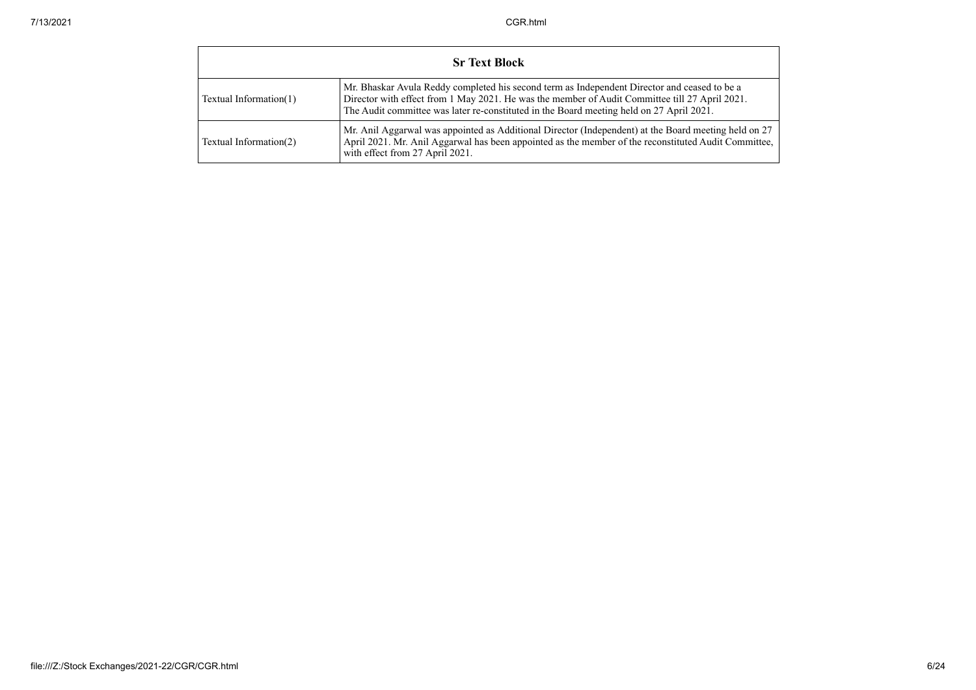|                        | <b>Sr Text Block</b>                                                                                                                                                                                                                                                                       |
|------------------------|--------------------------------------------------------------------------------------------------------------------------------------------------------------------------------------------------------------------------------------------------------------------------------------------|
| Textual Information(1) | Mr. Bhaskar Avula Reddy completed his second term as Independent Director and ceased to be a<br>Director with effect from 1 May 2021. He was the member of Audit Committee till 27 April 2021.<br>The Audit committee was later re-constituted in the Board meeting held on 27 April 2021. |
| Textual Information(2) | Mr. Anil Aggarwal was appointed as Additional Director (Independent) at the Board meeting held on 27<br>April 2021. Mr. Anil Aggarwal has been appointed as the member of the reconstituted Audit Committee,<br>with effect from 27 April 2021.                                            |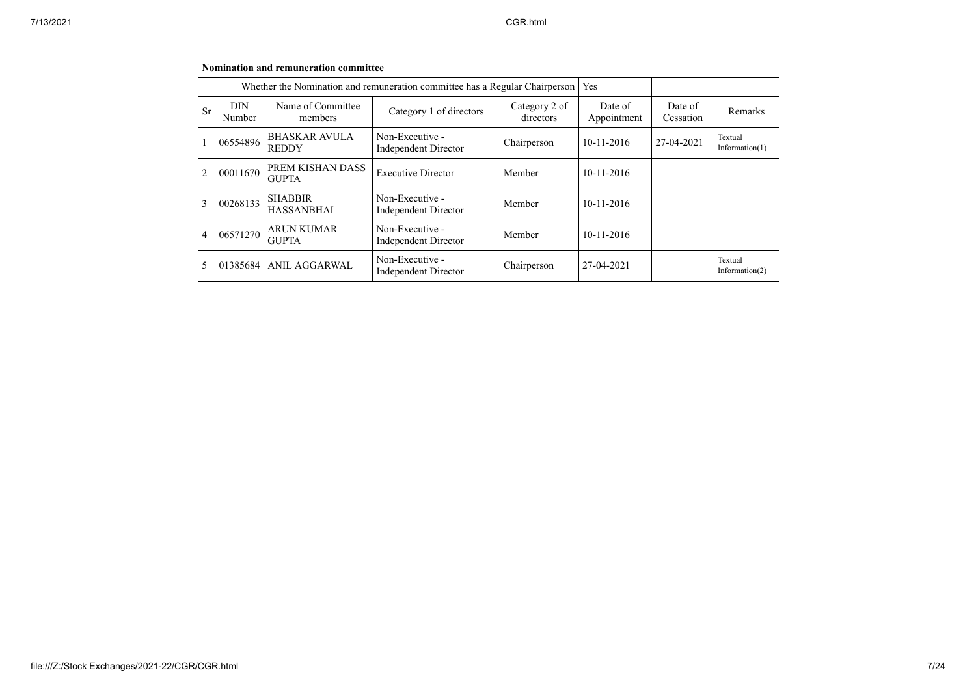|                |                      | Nomination and remuneration committee |                                                                             |                            |                        |                      |                              |
|----------------|----------------------|---------------------------------------|-----------------------------------------------------------------------------|----------------------------|------------------------|----------------------|------------------------------|
|                |                      |                                       | Whether the Nomination and remuneration committee has a Regular Chairperson |                            | Yes                    |                      |                              |
| Sr             | <b>DIN</b><br>Number | Name of Committee<br>members          | Category 1 of directors                                                     | Category 2 of<br>directors | Date of<br>Appointment | Date of<br>Cessation | Remarks                      |
|                | 06554896             | <b>BHASKAR AVULA</b><br><b>REDDY</b>  | Non-Executive -<br><b>Independent Director</b>                              | Chairperson                | $10 - 11 - 2016$       | 27-04-2021           | Textual<br>Information $(1)$ |
| $\overline{2}$ | 00011670             | PREM KISHAN DASS<br><b>GUPTA</b>      | <b>Executive Director</b>                                                   | Member                     | $10 - 11 - 2016$       |                      |                              |
| 3              | 00268133             | <b>SHABBIR</b><br><b>HASSANBHAI</b>   | Non-Executive -<br>Independent Director                                     | Member                     | $10 - 11 - 2016$       |                      |                              |
| $\overline{4}$ | 06571270             | <b>ARUN KUMAR</b><br><b>GUPTA</b>     | Non-Executive -<br><b>Independent Director</b>                              | Member                     | $10 - 11 - 2016$       |                      |                              |
|                | 01385684             | ANIL AGGARWAL                         | Non-Executive -<br>Independent Director                                     | Chairperson                | 27-04-2021             |                      | Textual<br>Information $(2)$ |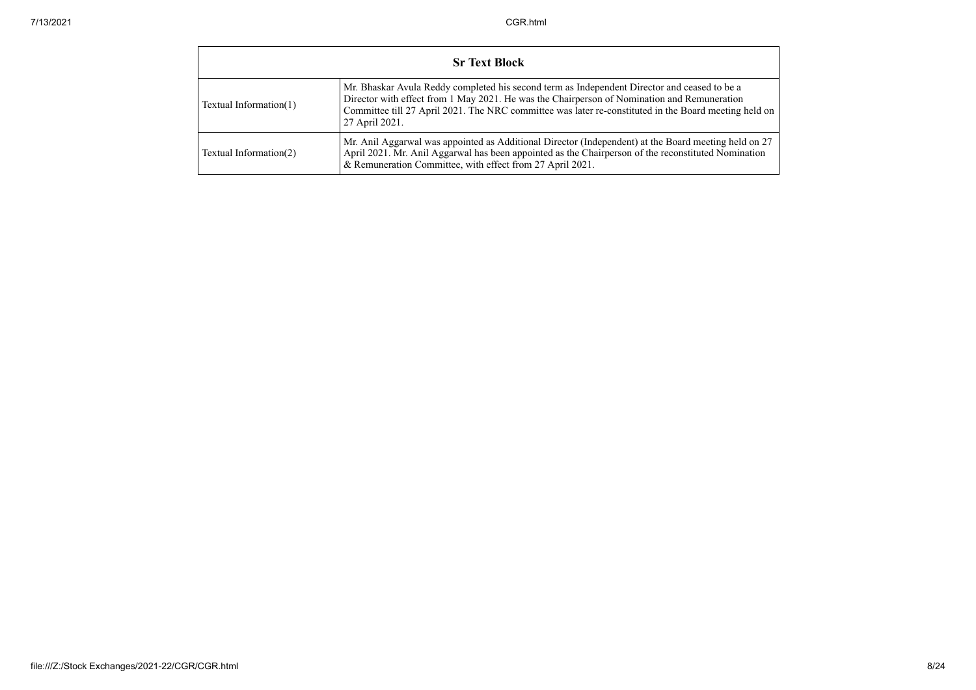|                        | <b>Sr Text Block</b>                                                                                                                                                                                                                                                                                                   |
|------------------------|------------------------------------------------------------------------------------------------------------------------------------------------------------------------------------------------------------------------------------------------------------------------------------------------------------------------|
| Textual Information(1) | Mr. Bhaskar Avula Reddy completed his second term as Independent Director and ceased to be a<br>Director with effect from 1 May 2021. He was the Chairperson of Nomination and Remuneration<br>Committee till 27 April 2021. The NRC committee was later re-constituted in the Board meeting held on<br>27 April 2021. |
| Textual Information(2) | Mr. Anil Aggarwal was appointed as Additional Director (Independent) at the Board meeting held on 27<br>April 2021. Mr. Anil Aggarwal has been appointed as the Chairperson of the reconstituted Nomination<br>& Remuneration Committee, with effect from 27 April 2021.                                               |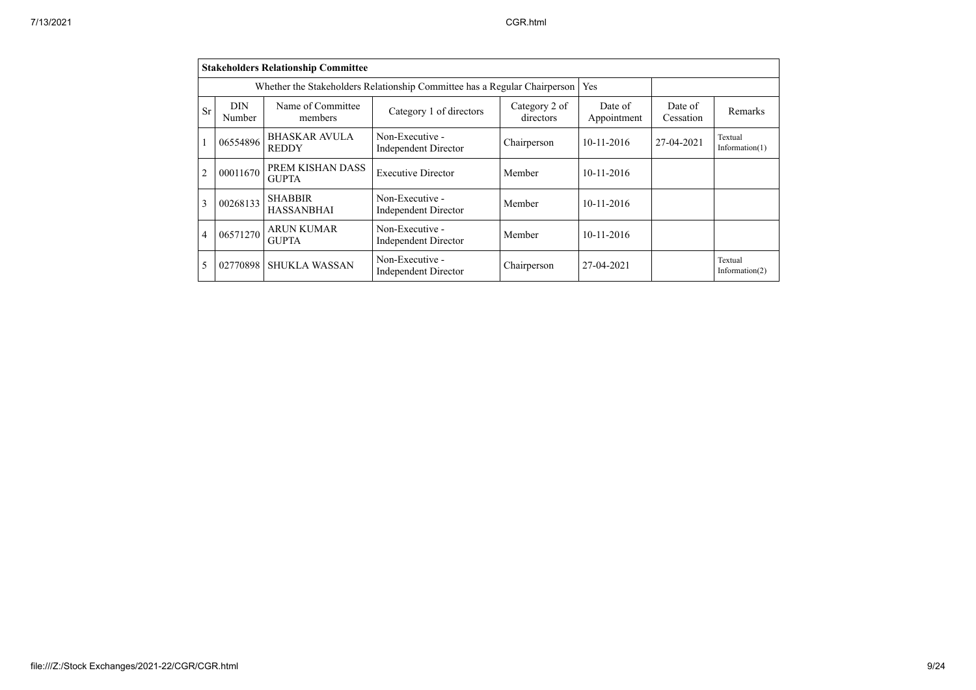|                | <b>Stakeholders Relationship Committee</b> |                                      |                                                                           |                            |                        |                      |                              |  |  |  |  |  |
|----------------|--------------------------------------------|--------------------------------------|---------------------------------------------------------------------------|----------------------------|------------------------|----------------------|------------------------------|--|--|--|--|--|
|                |                                            |                                      | Whether the Stakeholders Relationship Committee has a Regular Chairperson |                            | Yes                    |                      |                              |  |  |  |  |  |
| <b>Sr</b>      | <b>DIN</b><br>Number                       | Name of Committee<br>members         | Category 1 of directors                                                   | Category 2 of<br>directors | Date of<br>Appointment | Date of<br>Cessation | Remarks                      |  |  |  |  |  |
|                | 06554896                                   | <b>BHASKAR AVULA</b><br><b>REDDY</b> | Non-Executive -<br><b>Independent Director</b>                            | Chairperson                | $10 - 11 - 2016$       | 27-04-2021           | Textual<br>Information $(1)$ |  |  |  |  |  |
| $\overline{c}$ | 00011670                                   | PREM KISHAN DASS<br><b>GUPTA</b>     | <b>Executive Director</b>                                                 | Member                     | 10-11-2016             |                      |                              |  |  |  |  |  |
| $\mathbf{3}$   | 00268133                                   | <b>SHABBIR</b><br><b>HASSANBHAI</b>  | Non-Executive -<br>Independent Director                                   | Member                     | $10 - 11 - 2016$       |                      |                              |  |  |  |  |  |
| $\overline{4}$ | 06571270                                   | <b>ARUN KUMAR</b><br><b>GUPTA</b>    | Non-Executive -<br><b>Independent Director</b>                            | Member                     | $10 - 11 - 2016$       |                      |                              |  |  |  |  |  |
|                | 02770898                                   | <b>SHUKLA WASSAN</b>                 | Non-Executive -<br>Independent Director                                   | Chairperson                | 27-04-2021             |                      | Textual<br>Information $(2)$ |  |  |  |  |  |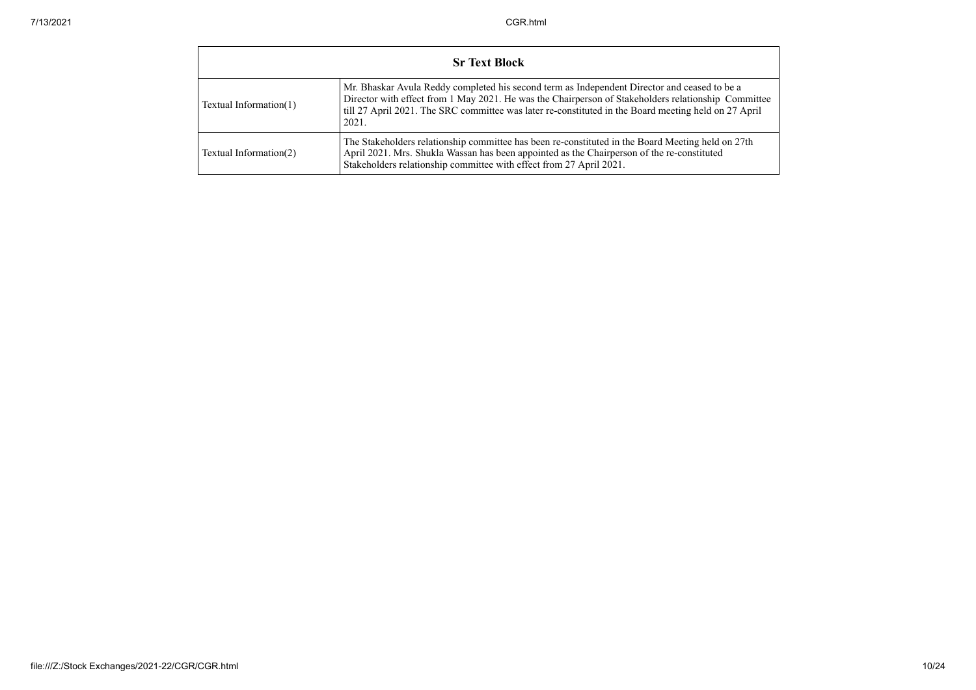|                           | <b>Sr Text Block</b>                                                                                                                                                                                                                                                                                                 |  |  |  |  |  |  |  |  |  |
|---------------------------|----------------------------------------------------------------------------------------------------------------------------------------------------------------------------------------------------------------------------------------------------------------------------------------------------------------------|--|--|--|--|--|--|--|--|--|
| Textual Information $(1)$ | Mr. Bhaskar Avula Reddy completed his second term as Independent Director and ceased to be a<br>Director with effect from 1 May 2021. He was the Chairperson of Stakeholders relationship Committee<br>till 27 April 2021. The SRC committee was later re-constituted in the Board meeting held on 27 April<br>2021. |  |  |  |  |  |  |  |  |  |
| Textual Information(2)    | The Stakeholders relationship committee has been re-constituted in the Board Meeting held on 27th<br>April 2021. Mrs. Shukla Wassan has been appointed as the Chairperson of the re-constituted<br>Stakeholders relationship committee with effect from 27 April 2021.                                               |  |  |  |  |  |  |  |  |  |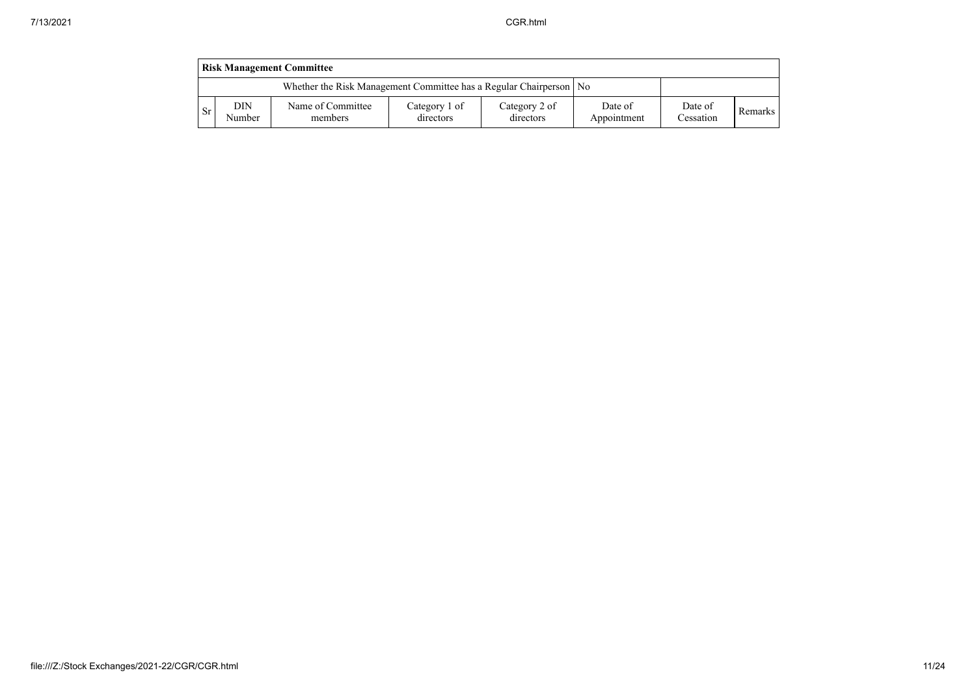|     | <b>Risk Management Committee</b> |                                                                      |                            |                            |                        |                      |         |  |  |  |  |  |
|-----|----------------------------------|----------------------------------------------------------------------|----------------------------|----------------------------|------------------------|----------------------|---------|--|--|--|--|--|
|     |                                  | Whether the Risk Management Committee has a Regular Chairperson   No |                            |                            |                        |                      |         |  |  |  |  |  |
| -Sr | <b>DIN</b><br>Number             | Name of Committee<br>members                                         | Category 1 of<br>directors | Category 2 of<br>directors | Date of<br>Appointment | Date of<br>Cessation | Remarks |  |  |  |  |  |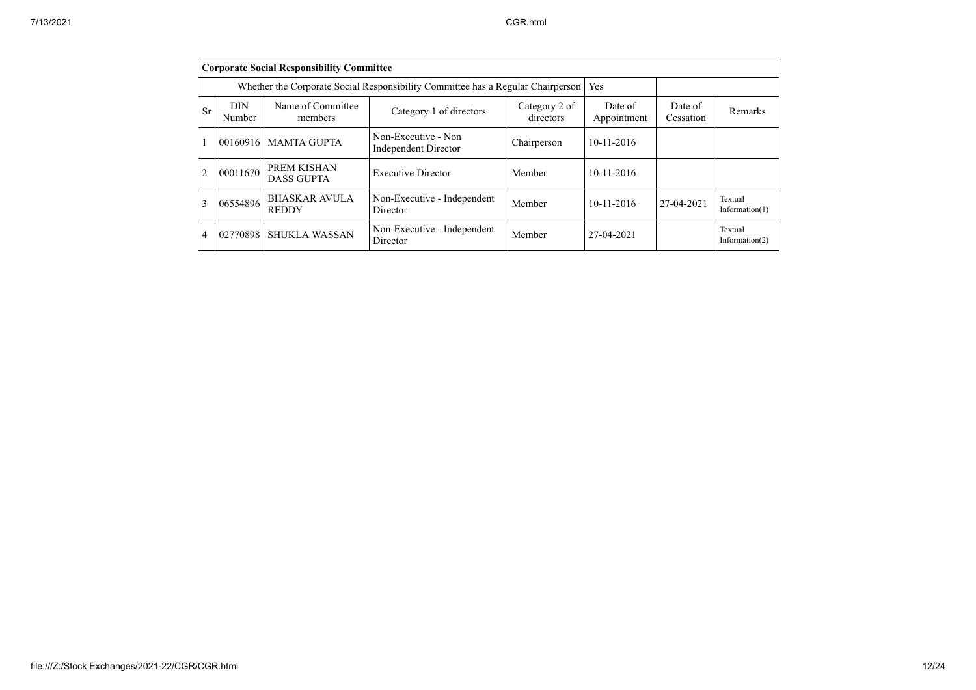|                | <b>Corporate Social Responsibility Committee</b>                                |                                      |                                                    |                            |                        |                      |                              |  |  |  |  |  |
|----------------|---------------------------------------------------------------------------------|--------------------------------------|----------------------------------------------------|----------------------------|------------------------|----------------------|------------------------------|--|--|--|--|--|
|                | Whether the Corporate Social Responsibility Committee has a Regular Chairperson |                                      |                                                    |                            |                        |                      |                              |  |  |  |  |  |
| <b>Sr</b>      | <b>DIN</b><br>Number                                                            | Name of Committee<br>members         | Category 1 of directors                            | Category 2 of<br>directors | Date of<br>Appointment | Date of<br>Cessation | Remarks                      |  |  |  |  |  |
| $\overline{1}$ | 00160916                                                                        | <b>MAMTA GUPTA</b>                   | Non-Executive - Non<br><b>Independent Director</b> | Chairperson                | $10 - 11 - 2016$       |                      |                              |  |  |  |  |  |
| $\overline{2}$ | 00011670                                                                        | PREM KISHAN<br><b>DASS GUPTA</b>     | <b>Executive Director</b>                          | Member                     | $10 - 11 - 2016$       |                      |                              |  |  |  |  |  |
| 3              | 06554896                                                                        | <b>BHASKAR AVULA</b><br><b>REDDY</b> | Non-Executive - Independent<br>Director            | Member                     | $10 - 11 - 2016$       | 27-04-2021           | Textual<br>Information $(1)$ |  |  |  |  |  |
| $\overline{4}$ | 02770898                                                                        | SHUKLA WASSAN                        | Non-Executive - Independent<br>Director            | Member                     | 27-04-2021             |                      | Textual<br>Information $(2)$ |  |  |  |  |  |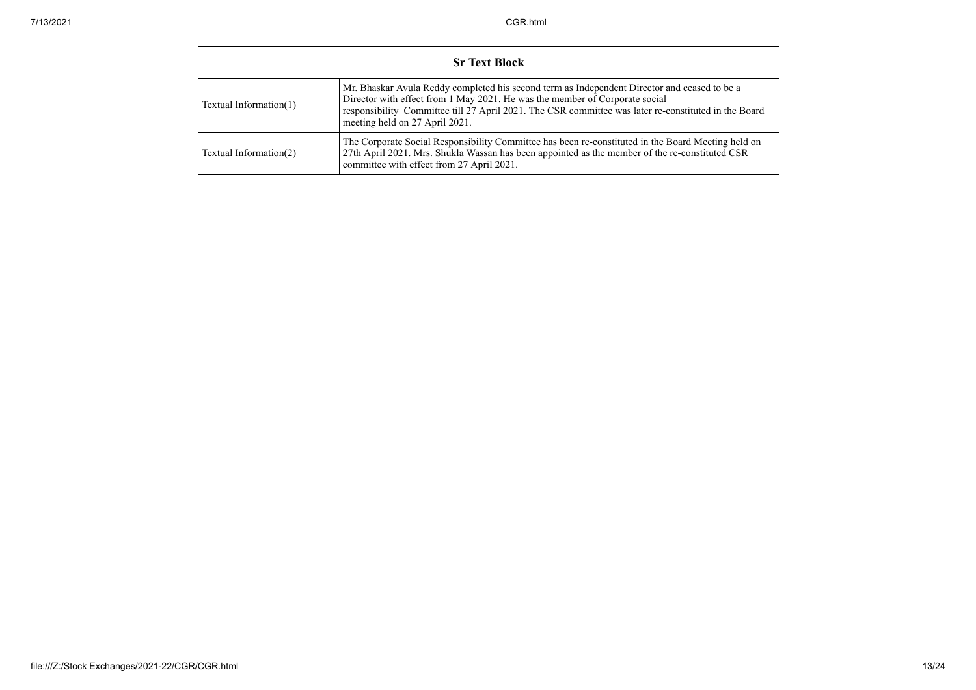|                        | <b>Sr Text Block</b>                                                                                                                                                                                                                                                                                                  |  |  |  |  |
|------------------------|-----------------------------------------------------------------------------------------------------------------------------------------------------------------------------------------------------------------------------------------------------------------------------------------------------------------------|--|--|--|--|
| Textual Information(1) | Mr. Bhaskar Avula Reddy completed his second term as Independent Director and ceased to be a<br>Director with effect from 1 May 2021. He was the member of Corporate social<br>responsibility Committee till 27 April 2021. The CSR committee was later re-constituted in the Board<br>meeting held on 27 April 2021. |  |  |  |  |
| Textual Information(2) | The Corporate Social Responsibility Committee has been re-constituted in the Board Meeting held on<br>27th April 2021. Mrs. Shukla Wassan has been appointed as the member of the re-constituted CSR<br>committee with effect from 27 April 2021.                                                                     |  |  |  |  |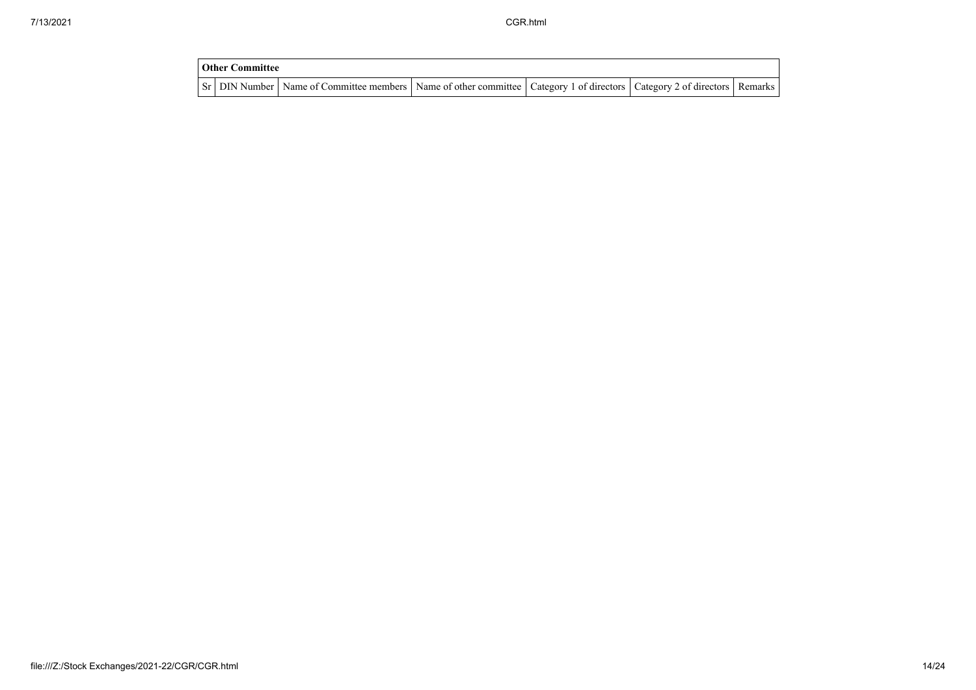| <b>Other Committee</b> |                                                                                                                                     |  |  |  |  |
|------------------------|-------------------------------------------------------------------------------------------------------------------------------------|--|--|--|--|
|                        | Sr   DIN Number   Name of Committee members   Name of other committee   Category 1 of directors   Category 2 of directors   Remarks |  |  |  |  |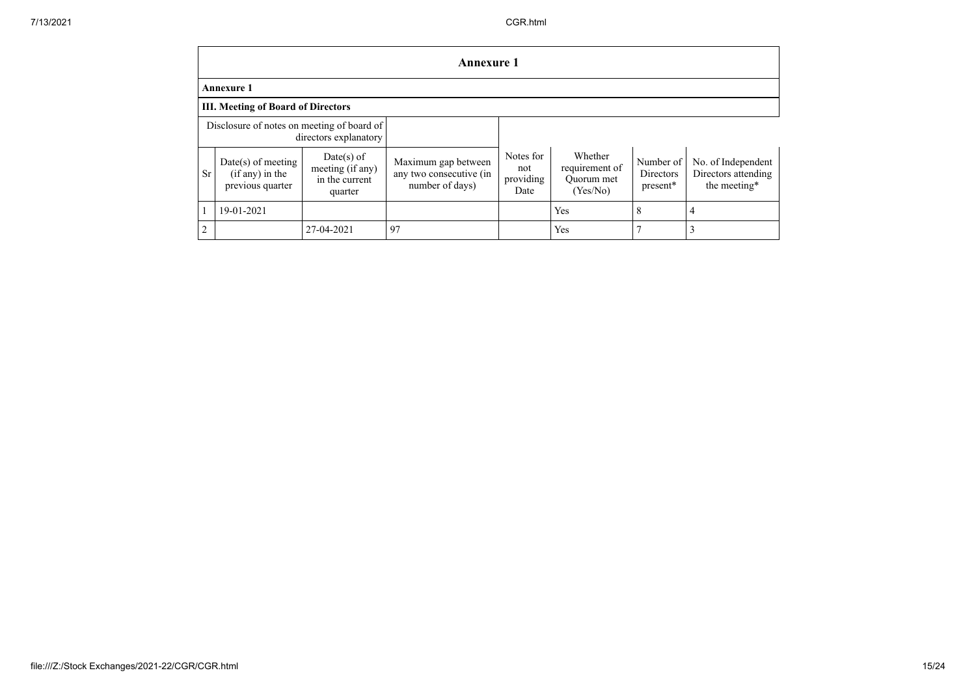|                                                                     | <b>Annexure 1</b>                                             |                                                               |                                                                   |                                       |                                                     |                                    |                                                           |
|---------------------------------------------------------------------|---------------------------------------------------------------|---------------------------------------------------------------|-------------------------------------------------------------------|---------------------------------------|-----------------------------------------------------|------------------------------------|-----------------------------------------------------------|
|                                                                     | <b>Annexure 1</b>                                             |                                                               |                                                                   |                                       |                                                     |                                    |                                                           |
|                                                                     | <b>III. Meeting of Board of Directors</b>                     |                                                               |                                                                   |                                       |                                                     |                                    |                                                           |
| Disclosure of notes on meeting of board of<br>directors explanatory |                                                               |                                                               |                                                                   |                                       |                                                     |                                    |                                                           |
| <b>Sr</b>                                                           | $Date(s)$ of meeting<br>$(if any)$ in the<br>previous quarter | $Date(s)$ of<br>meeting (if any)<br>in the current<br>quarter | Maximum gap between<br>any two consecutive (in<br>number of days) | Notes for<br>not<br>providing<br>Date | Whether<br>requirement of<br>Ouorum met<br>(Yes/No) | Number of<br>Directors<br>present* | No. of Independent<br>Directors attending<br>the meeting* |
|                                                                     | 19-01-2021                                                    |                                                               |                                                                   |                                       | Yes                                                 | 8                                  |                                                           |
| $\sqrt{2}$                                                          |                                                               | 27-04-2021                                                    | 97                                                                |                                       | Yes                                                 |                                    |                                                           |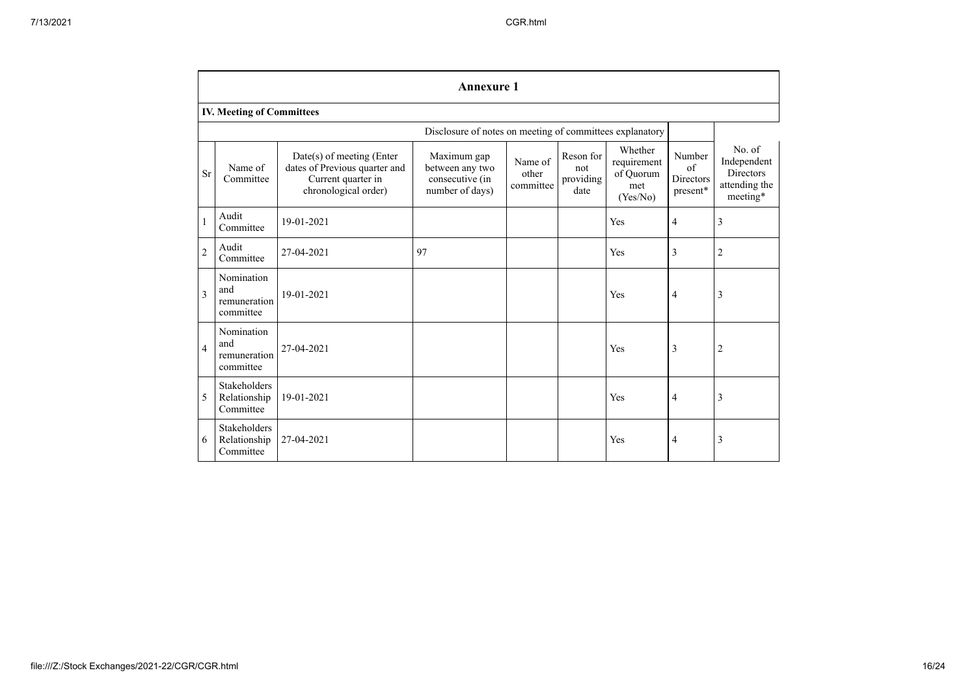|                | <b>Annexure 1</b>                                |                                                                                                          |                                                                      |                               |                                       |                                                        |                                                      |                                                                        |
|----------------|--------------------------------------------------|----------------------------------------------------------------------------------------------------------|----------------------------------------------------------------------|-------------------------------|---------------------------------------|--------------------------------------------------------|------------------------------------------------------|------------------------------------------------------------------------|
|                | IV. Meeting of Committees                        |                                                                                                          |                                                                      |                               |                                       |                                                        |                                                      |                                                                        |
|                |                                                  |                                                                                                          | Disclosure of notes on meeting of committees explanatory             |                               |                                       |                                                        |                                                      |                                                                        |
| Sr             | Name of<br>Committee                             | Date(s) of meeting (Enter<br>dates of Previous quarter and<br>Current quarter in<br>chronological order) | Maximum gap<br>between any two<br>consecutive (in<br>number of days) | Name of<br>other<br>committee | Reson for<br>not<br>providing<br>date | Whether<br>requirement<br>of Quorum<br>met<br>(Yes/No) | Number<br>$\sigma$ f<br><b>Directors</b><br>present* | No. of<br>Independent<br><b>Directors</b><br>attending the<br>meeting* |
| $\mathbf{1}$   | Audit<br>Committee                               | 19-01-2021                                                                                               |                                                                      |                               |                                       | Yes                                                    | $\overline{4}$                                       | $\overline{3}$                                                         |
| $\overline{2}$ | Audit<br>Committee                               | 27-04-2021                                                                                               | 97                                                                   |                               |                                       | Yes                                                    | 3                                                    | $\overline{2}$                                                         |
| 3              | Nomination<br>and<br>remuneration<br>committee   | 19-01-2021                                                                                               |                                                                      |                               |                                       | Yes                                                    | $\overline{4}$                                       | $\overline{3}$                                                         |
| $\overline{4}$ | Nomination<br>and<br>remuneration<br>committee   | 27-04-2021                                                                                               |                                                                      |                               |                                       | Yes                                                    | $\overline{3}$                                       | $\overline{2}$                                                         |
| 5              | <b>Stakeholders</b><br>Relationship<br>Committee | 19-01-2021                                                                                               |                                                                      |                               |                                       | Yes                                                    | $\overline{4}$                                       | 3                                                                      |
| 6              | Stakeholders<br>Relationship<br>Committee        | 27-04-2021                                                                                               |                                                                      |                               |                                       | Yes                                                    | $\overline{4}$                                       | 3                                                                      |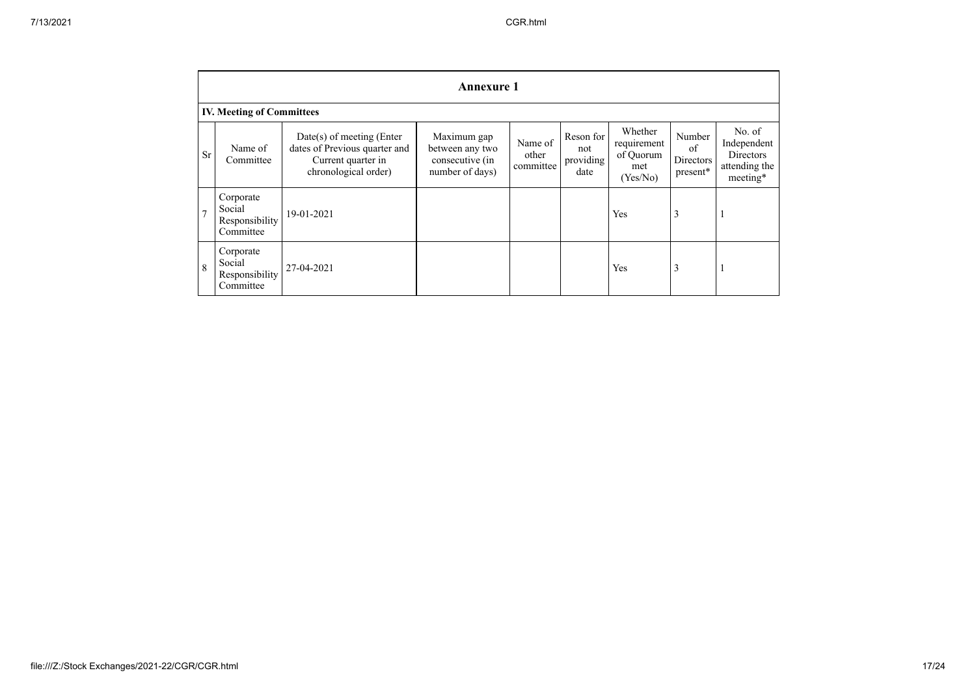|                | <b>Annexure 1</b>                                  |                                                                                                            |                                                                      |                               |                                       |                                                        |                                       |                                                                        |
|----------------|----------------------------------------------------|------------------------------------------------------------------------------------------------------------|----------------------------------------------------------------------|-------------------------------|---------------------------------------|--------------------------------------------------------|---------------------------------------|------------------------------------------------------------------------|
|                | <b>IV. Meeting of Committees</b>                   |                                                                                                            |                                                                      |                               |                                       |                                                        |                                       |                                                                        |
| <b>Sr</b>      | Name of<br>Committee                               | $Date(s)$ of meeting (Enter<br>dates of Previous quarter and<br>Current quarter in<br>chronological order) | Maximum gap<br>between any two<br>consecutive (in<br>number of days) | Name of<br>other<br>committee | Reson for<br>not<br>providing<br>date | Whether<br>requirement<br>of Quorum<br>met<br>(Yes/No) | Number<br>of<br>Directors<br>present* | No. of<br>Independent<br><b>Directors</b><br>attending the<br>meeting* |
| $\overline{7}$ | Corporate<br>Social<br>Responsibility<br>Committee | 19-01-2021                                                                                                 |                                                                      |                               |                                       | Yes                                                    | 3                                     |                                                                        |
| 8              | Corporate<br>Social<br>Responsibility<br>Committee | 27-04-2021                                                                                                 |                                                                      |                               |                                       | Yes                                                    | 3                                     |                                                                        |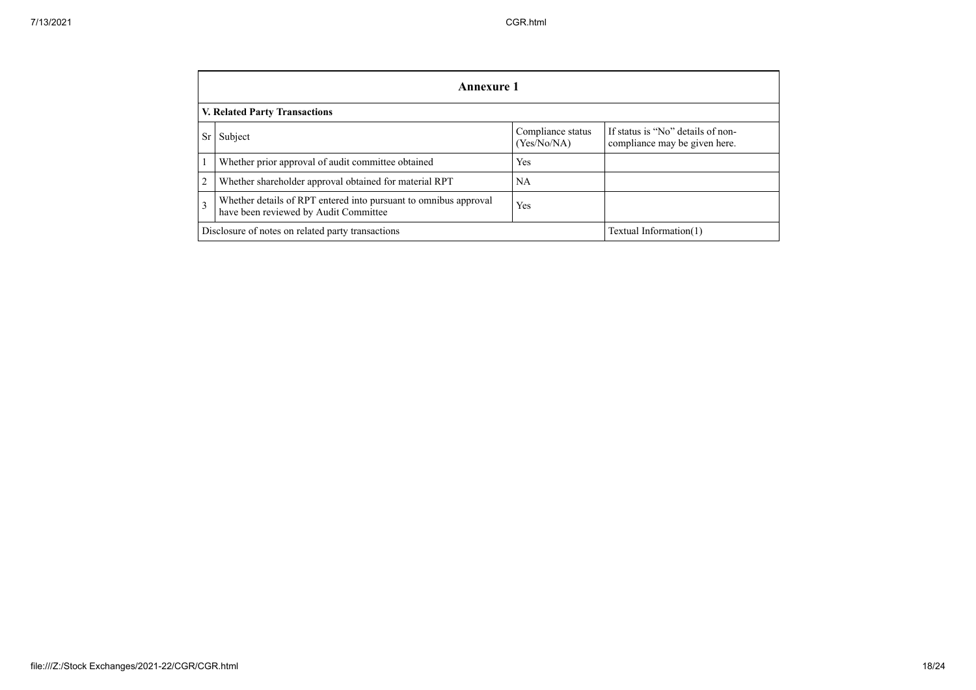|                | Annexure 1                                                                                                |                                  |                                                                    |  |  |
|----------------|-----------------------------------------------------------------------------------------------------------|----------------------------------|--------------------------------------------------------------------|--|--|
|                | <b>V. Related Party Transactions</b>                                                                      |                                  |                                                                    |  |  |
| Sr             | Subject                                                                                                   | Compliance status<br>(Yes/No/NA) | If status is "No" details of non-<br>compliance may be given here. |  |  |
|                | Whether prior approval of audit committee obtained                                                        | Yes                              |                                                                    |  |  |
| $\overline{2}$ | Whether shareholder approval obtained for material RPT                                                    | NA                               |                                                                    |  |  |
| 3              | Whether details of RPT entered into pursuant to omnibus approval<br>have been reviewed by Audit Committee | Yes                              |                                                                    |  |  |
|                | Disclosure of notes on related party transactions<br>Textual Information(1)                               |                                  |                                                                    |  |  |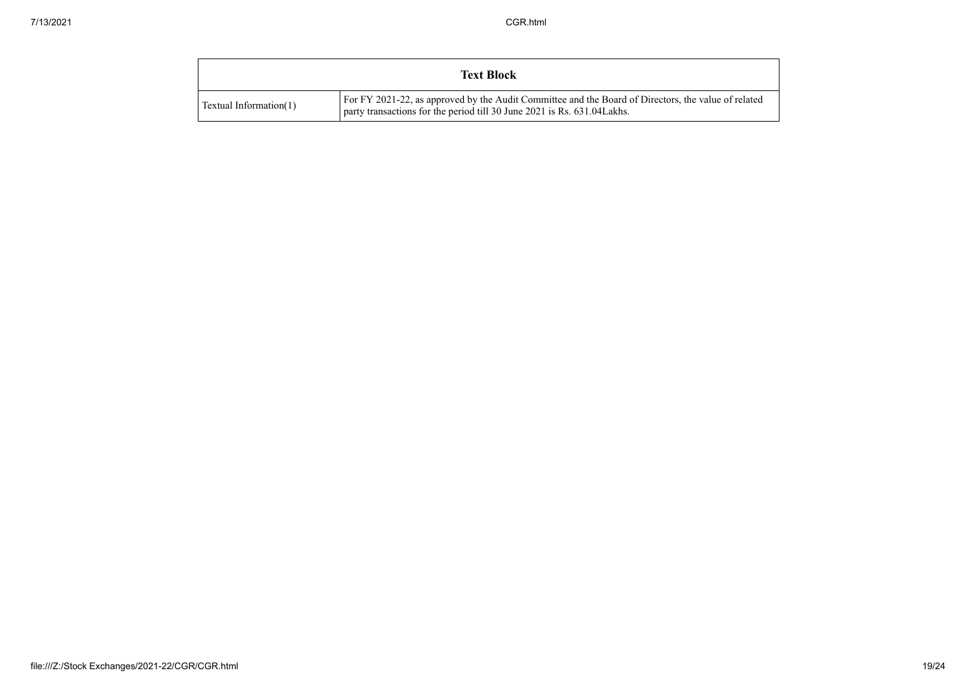| <b>Text Block</b>      |                                                                                                                                                                                 |
|------------------------|---------------------------------------------------------------------------------------------------------------------------------------------------------------------------------|
| Textual Information(1) | For FY 2021-22, as approved by the Audit Committee and the Board of Directors, the value of related<br>party transactions for the period till 30 June 2021 is Rs. 631.04 Lakhs. |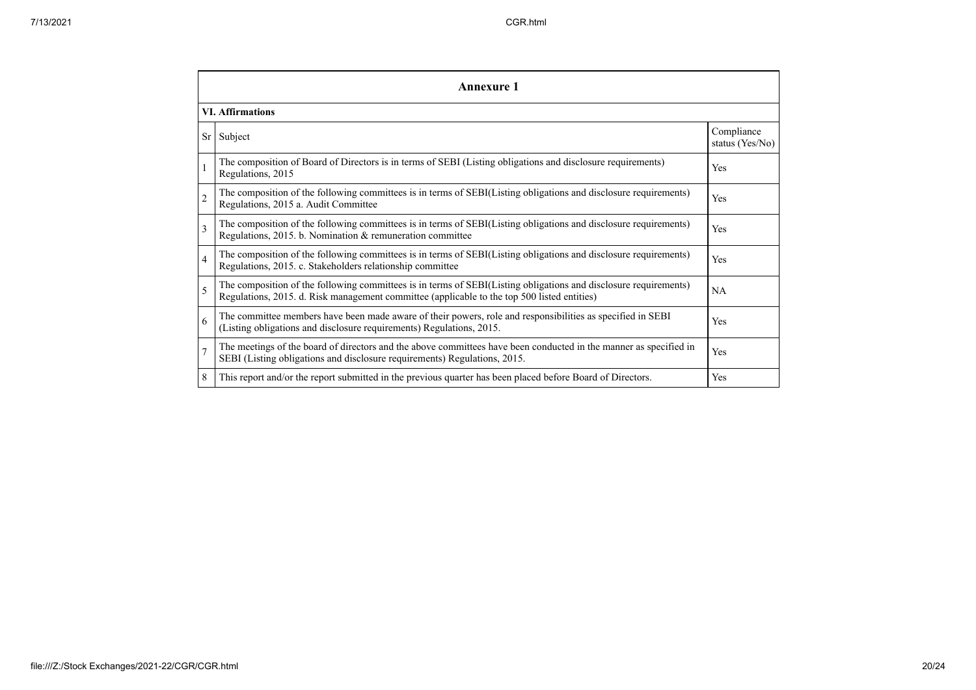|                | <b>Annexure 1</b>                                                                                                                                                                                               |                               |  |  |  |
|----------------|-----------------------------------------------------------------------------------------------------------------------------------------------------------------------------------------------------------------|-------------------------------|--|--|--|
|                | <b>VI.</b> Affirmations                                                                                                                                                                                         |                               |  |  |  |
| Sr             | Subject                                                                                                                                                                                                         | Compliance<br>status (Yes/No) |  |  |  |
|                | The composition of Board of Directors is in terms of SEBI (Listing obligations and disclosure requirements)<br>Regulations, 2015                                                                                | Yes                           |  |  |  |
| $\overline{c}$ | The composition of the following committees is in terms of SEBI(Listing obligations and disclosure requirements)<br>Regulations, 2015 a. Audit Committee                                                        | Yes                           |  |  |  |
| 3              | The composition of the following committees is in terms of SEBI(Listing obligations and disclosure requirements)<br>Regulations, 2015. b. Nomination & remuneration committee                                   | Yes                           |  |  |  |
| $\overline{4}$ | The composition of the following committees is in terms of SEBI(Listing obligations and disclosure requirements)<br>Regulations, 2015. c. Stakeholders relationship committee                                   | Yes                           |  |  |  |
| 5              | The composition of the following committees is in terms of SEBI(Listing obligations and disclosure requirements)<br>Regulations, 2015. d. Risk management committee (applicable to the top 500 listed entities) | <b>NA</b>                     |  |  |  |
| 6              | The committee members have been made aware of their powers, role and responsibilities as specified in SEBI<br>(Listing obligations and disclosure requirements) Regulations, 2015.                              | Yes                           |  |  |  |
| $\overline{7}$ | The meetings of the board of directors and the above committees have been conducted in the manner as specified in<br>SEBI (Listing obligations and disclosure requirements) Regulations, 2015.                  | Yes                           |  |  |  |
| 8              | This report and/or the report submitted in the previous quarter has been placed before Board of Directors.                                                                                                      | Yes                           |  |  |  |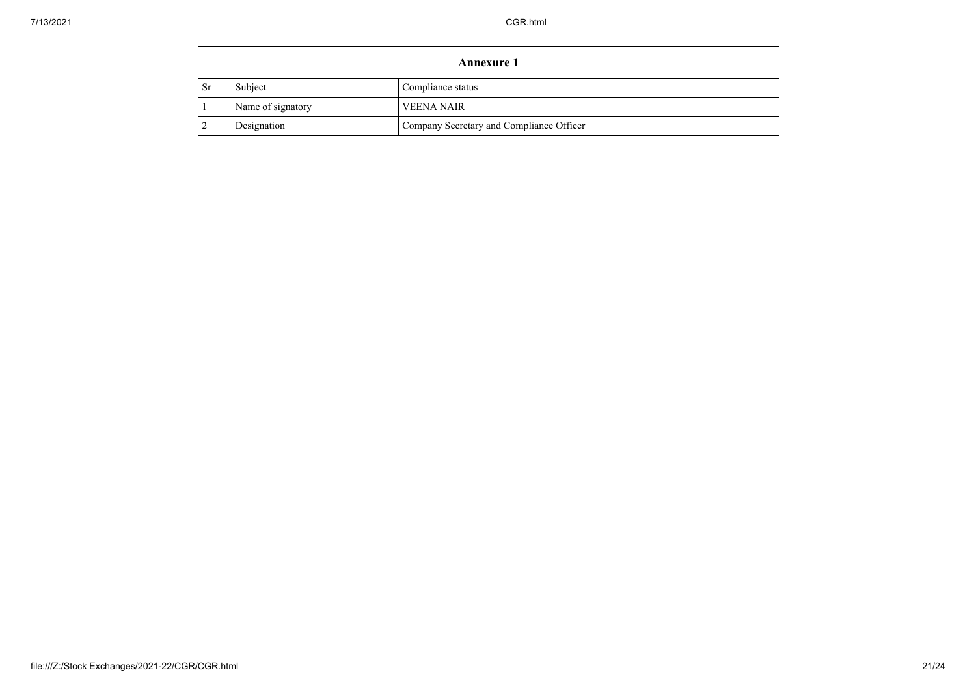|           | <b>Annexure 1</b> |                                          |  |
|-----------|-------------------|------------------------------------------|--|
| <b>Sr</b> | Subject           | Compliance status                        |  |
|           | Name of signatory | <b>VEENA NAIR</b>                        |  |
|           | Designation       | Company Secretary and Compliance Officer |  |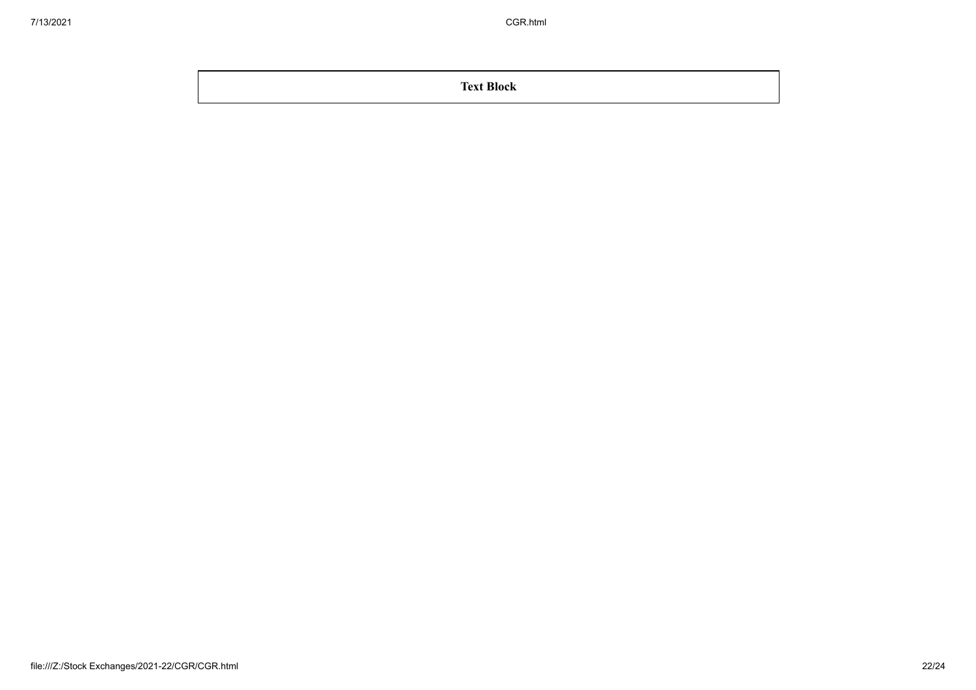**Text Block**